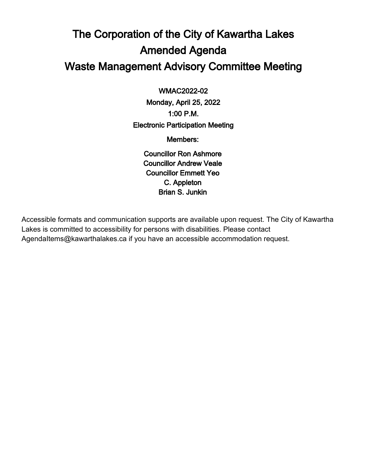### The Corporation of the City of Kawartha Lakes Amended Agenda Waste Management Advisory Committee Meeting

 $\overline{a}$ WMAC2022-02

Monday, April 25, 2022 1:00 P.M. Electronic Participation Meeting

Members:

Councillor Ron Ashmore Councillor Andrew Veale Councillor Emmett Yeo C. Appleton Brian S. Junkin

Accessible formats and communication supports are available upon request. The City of Kawartha Lakes is committed to accessibility for persons with disabilities. Please contact AgendaItems@kawarthalakes.ca if you have an accessible accommodation request.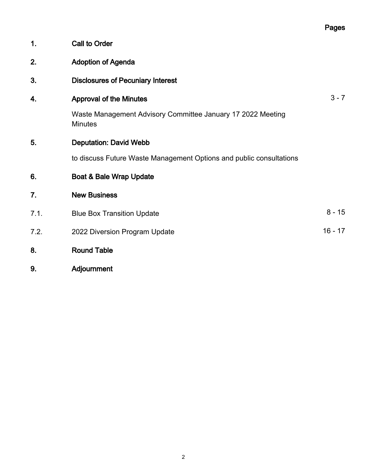|               |                                                                               | Pages     |
|---------------|-------------------------------------------------------------------------------|-----------|
| $\mathbf 1$ . | <b>Call to Order</b>                                                          |           |
| 2.            | <b>Adoption of Agenda</b>                                                     |           |
| 3.            | <b>Disclosures of Pecuniary Interest</b>                                      |           |
| 4.            | <b>Approval of the Minutes</b>                                                | $3 - 7$   |
|               | Waste Management Advisory Committee January 17 2022 Meeting<br><b>Minutes</b> |           |
| 5.            | <b>Deputation: David Webb</b>                                                 |           |
|               | to discuss Future Waste Management Options and public consultations           |           |
| 6.            | Boat & Bale Wrap Update                                                       |           |
| 7.            | <b>New Business</b>                                                           |           |
| 7.1.          | <b>Blue Box Transition Update</b>                                             | $8 - 15$  |
| 7.2.          | 2022 Diversion Program Update                                                 | $16 - 17$ |
| 8.            | <b>Round Table</b>                                                            |           |
| 9.            | Adjournment                                                                   |           |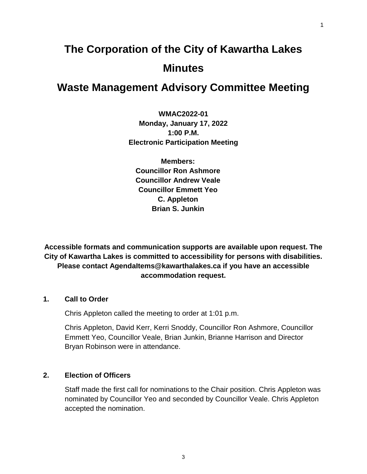## **The Corporation of the City of Kawartha Lakes Minutes**

### **Waste Management Advisory Committee Meeting**

**WMAC2022-01 Monday, January 17, 2022 1:00 P.M. Electronic Participation Meeting**

**Members: Councillor Ron Ashmore Councillor Andrew Veale Councillor Emmett Yeo C. Appleton Brian S. Junkin**

**Accessible formats and communication supports are available upon request. The City of Kawartha Lakes is committed to accessibility for persons with disabilities. Please contact AgendaItems@kawarthalakes.ca if you have an accessible accommodation request.** 

#### **1. Call to Order**

Chris Appleton called the meeting to order at 1:01 p.m.

Chris Appleton, David Kerr, Kerri Snoddy, Councillor Ron Ashmore, Councillor Emmett Yeo, Councillor Veale, Brian Junkin, Brianne Harrison and Director Bryan Robinson were in attendance.

#### **2. Election of Officers**

Staff made the first call for nominations to the Chair position. Chris Appleton was nominated by Councillor Yeo and seconded by Councillor Veale. Chris Appleton accepted the nomination.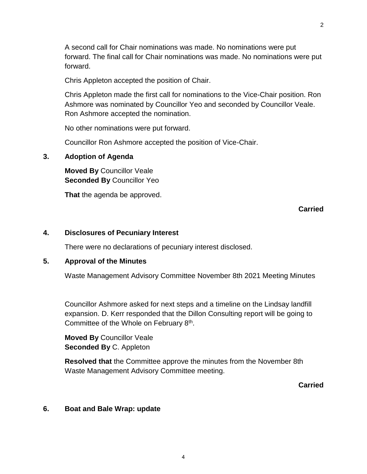A second call for Chair nominations was made. No nominations were put

forward. The final call for Chair nominations was made. No nominations were put forward.

Chris Appleton accepted the position of Chair.

Chris Appleton made the first call for nominations to the Vice-Chair position. Ron Ashmore was nominated by Councillor Yeo and seconded by Councillor Veale. Ron Ashmore accepted the nomination.

No other nominations were put forward.

Councillor Ron Ashmore accepted the position of Vice-Chair.

### **3. Adoption of Agenda**

**Moved By** Councillor Veale **Seconded By** Councillor Yeo

**That** the agenda be approved.

### **Carried**

### **4. Disclosures of Pecuniary Interest**

There were no declarations of pecuniary interest disclosed.

### **5. Approval of the Minutes**

Waste Management Advisory Committee November 8th 2021 Meeting Minutes

Councillor Ashmore asked for next steps and a timeline on the Lindsay landfill expansion. D. Kerr responded that the Dillon Consulting report will be going to Committee of the Whole on February 8<sup>th</sup>.

**Moved By** Councillor Veale **Seconded By** C. Appleton

**Resolved that** the Committee approve the minutes from the November 8th Waste Management Advisory Committee meeting.

### **Carried**

### **6. Boat and Bale Wrap: update**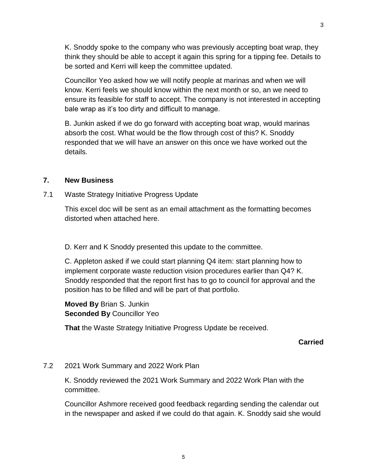K. Snoddy spoke to the company who was previously accepting boat wrap, they think they should be able to accept it again this spring for a tipping fee. Details to be sorted and Kerri will keep the committee updated.

Councillor Yeo asked how we will notify people at marinas and when we will know. Kerri feels we should know within the next month or so, an we need to ensure its feasible for staff to accept. The company is not interested in accepting bale wrap as it's too dirty and difficult to manage.

B. Junkin asked if we do go forward with accepting boat wrap, would marinas absorb the cost. What would be the flow through cost of this? K. Snoddy responded that we will have an answer on this once we have worked out the details.

#### **7. New Business**

7.1 Waste Strategy Initiative Progress Update

This excel doc will be sent as an email attachment as the formatting becomes distorted when attached here.

D. Kerr and K Snoddy presented this update to the committee.

C. Appleton asked if we could start planning Q4 item: start planning how to implement corporate waste reduction vision procedures earlier than Q4? K. Snoddy responded that the report first has to go to council for approval and the position has to be filled and will be part of that portfolio.

**Moved By** Brian S. Junkin **Seconded By** Councillor Yeo

**That** the Waste Strategy Initiative Progress Update be received.

#### **Carried**

#### 7.2 2021 Work Summary and 2022 Work Plan

K. Snoddy reviewed the 2021 Work Summary and 2022 Work Plan with the committee.

Councillor Ashmore received good feedback regarding sending the calendar out in the newspaper and asked if we could do that again. K. Snoddy said she would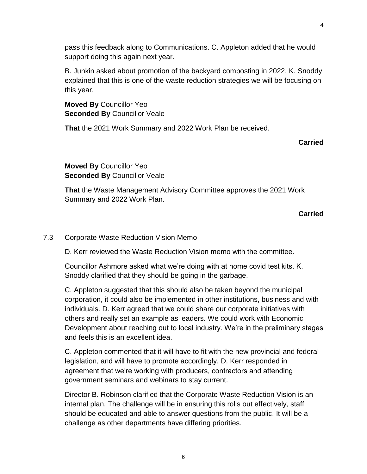4

pass this feedback along to Communications. C. Appleton added that he would support doing this again next year.

B. Junkin asked about promotion of the backyard composting in 2022. K. Snoddy explained that this is one of the waste reduction strategies we will be focusing on this year.

**Moved By** Councillor Yeo **Seconded By** Councillor Veale

**That** the 2021 Work Summary and 2022 Work Plan be received.

**Carried**

**Moved By** Councillor Yeo **Seconded By** Councillor Veale

**That** the Waste Management Advisory Committee approves the 2021 Work Summary and 2022 Work Plan.

**Carried**

### 7.3 Corporate Waste Reduction Vision Memo

D. Kerr reviewed the Waste Reduction Vision memo with the committee.

Councillor Ashmore asked what we're doing with at home covid test kits. K. Snoddy clarified that they should be going in the garbage.

C. Appleton suggested that this should also be taken beyond the municipal corporation, it could also be implemented in other institutions, business and with individuals. D. Kerr agreed that we could share our corporate initiatives with others and really set an example as leaders. We could work with Economic Development about reaching out to local industry. We're in the preliminary stages and feels this is an excellent idea.

C. Appleton commented that it will have to fit with the new provincial and federal legislation, and will have to promote accordingly. D. Kerr responded in agreement that we're working with producers, contractors and attending government seminars and webinars to stay current.

Director B. Robinson clarified that the Corporate Waste Reduction Vision is an internal plan. The challenge will be in ensuring this rolls out effectively, staff should be educated and able to answer questions from the public. It will be a challenge as other departments have differing priorities.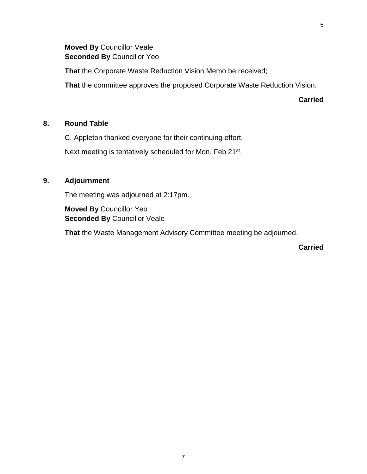**That** the Corporate Waste Reduction Vision Memo be received;

**That** the committee approves the proposed Corporate Waste Reduction Vision.

**Carried**

### **8. Round Table**

C. Appleton thanked everyone for their continuing effort.

Next meeting is tentatively scheduled for Mon. Feb 21<sup>st</sup>.

### **9. Adjournment**

The meeting was adjourned at 2:17pm.

**Moved By** Councillor Yeo **Seconded By** Councillor Veale

**That** the Waste Management Advisory Committee meeting be adjourned.

**Carried**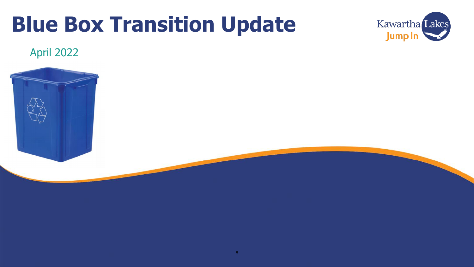# **Blue Box Transition Update**



### April 2022

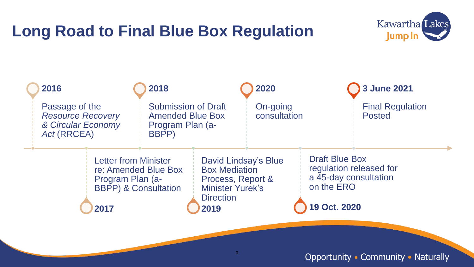# **Long Road to Final Blue Box Regulation**





### Opportunity • Community • Naturally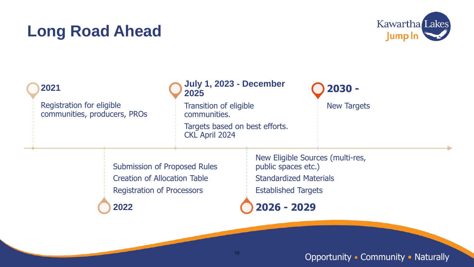## **Long Road Ahead**



| 2021 |                                                                                                                 |  | July 1, 2023 - December<br>2025                                                                          |                                                                                    | $2030 -$                         |  |
|------|-----------------------------------------------------------------------------------------------------------------|--|----------------------------------------------------------------------------------------------------------|------------------------------------------------------------------------------------|----------------------------------|--|
|      | Registration for eligible<br>communities, producers, PROs                                                       |  | <b>Transition of eligible</b><br>communities.<br>Targets based on best efforts.<br><b>CKL April 2024</b> |                                                                                    | <b>New Targets</b>               |  |
|      | <b>Submission of Proposed Rules</b><br><b>Creation of Allocation Table</b><br><b>Registration of Processors</b> |  |                                                                                                          | public spaces etc.)<br><b>Standardized Materials</b><br><b>Established Targets</b> | New Eligible Sources (multi-res, |  |
|      | 2022                                                                                                            |  |                                                                                                          | $2026 - 2029$                                                                      |                                  |  |

Opportunity • Community • Naturally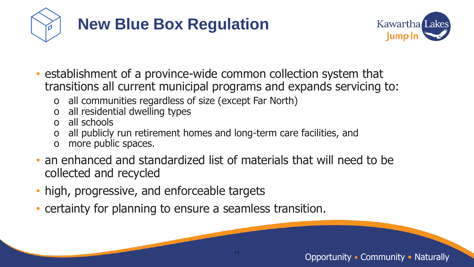



- establishment of a province-wide common collection system that transitions all current municipal programs and expands servicing to:
	- o all communities regardless of size (except Far North)
	- o all residential dwelling types
	- o all schools
	- o all publicly run retirement homes and long-term care facilities, and
	- o more public spaces.
- an enhanced and standardized list of materials that will need to be collected and recycled
- high, progressive, and enforceable targets
- certainty for planning to ensure a seamless transition.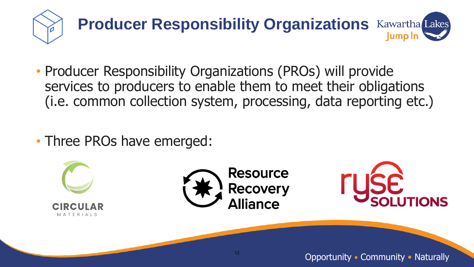

- Producer Responsibility Organizations (PROs) will provide services to producers to enable them to meet their obligations (i.e. common collection system, processing, data reporting etc.)
- Three PROs have emerged:

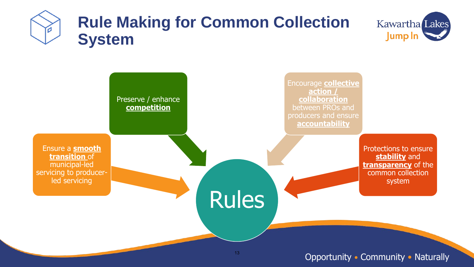



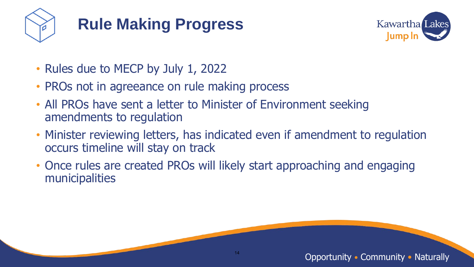

# **Rule Making Progress**



- Rules due to MECP by July 1, 2022
- PROs not in agreeance on rule making process
- All PROs have sent a letter to Minister of Environment seeking amendments to regulation
- Minister reviewing letters, has indicated even if amendment to regulation occurs timeline will stay on track
- Once rules are created PROs will likely start approaching and engaging municipalities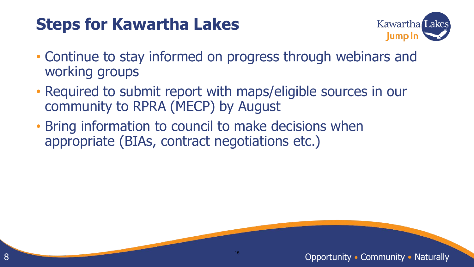# **Steps for Kawartha Lakes**

8



- Continue to stay informed on progress through webinars and working groups
- Required to submit report with maps/eligible sources in our community to RPRA (MECP) by August
- Bring information to council to make decisions when appropriate (BIAs, contract negotiations etc.)

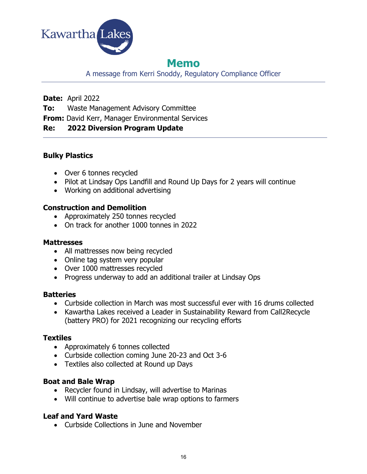

### **Memo**

A message from Kerri Snoddy, Regulatory Compliance Officer

**Date:** April 2022

**To:** Waste Management Advisory Committee

**From:** David Kerr, Manager Environmental Services

### **Re: 2022 Diversion Program Update**

### **Bulky Plastics**

- Over 6 tonnes recycled
- Pilot at Lindsay Ops Landfill and Round Up Days for 2 years will continue
- Working on additional advertising

### **Construction and Demolition**

- Approximately 250 tonnes recycled
- On track for another 1000 tonnes in 2022

### **Mattresses**

- All mattresses now being recycled
- Online tag system very popular
- Over 1000 mattresses recycled
- Progress underway to add an additional trailer at Lindsay Ops

### **Batteries**

- Curbside collection in March was most successful ever with 16 drums collected
- Kawartha Lakes received a Leader in Sustainability Reward from Call2Recycle (battery PRO) for 2021 recognizing our recycling efforts

### **Textiles**

- Approximately 6 tonnes collected
- Curbside collection coming June 20-23 and Oct 3-6
- Textiles also collected at Round up Days

### **Boat and Bale Wrap**

- Recycler found in Lindsay, will advertise to Marinas
- Will continue to advertise bale wrap options to farmers

### **Leaf and Yard Waste**

Curbside Collections in June and November